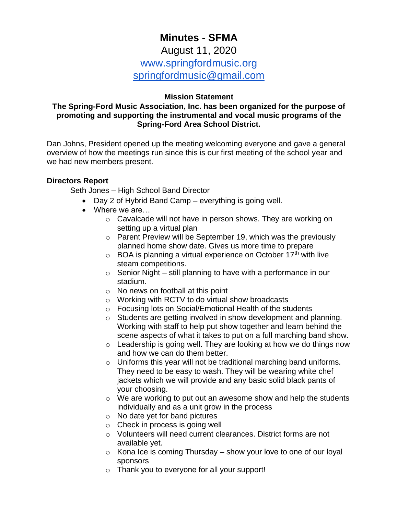# **Minutes - SFMA**

## August 11, 2020 www.springfordmusic.org [springfordmusic@gmail.com](mailto:springfordmusic@gmail.com)

#### **Mission Statement**

## **The Spring-Ford Music Association, Inc. has been organized for the purpose of promoting and supporting the instrumental and vocal music programs of the Spring-Ford Area School District.**

Dan Johns, President opened up the meeting welcoming everyone and gave a general overview of how the meetings run since this is our first meeting of the school year and we had new members present.

#### **Directors Report**

Seth Jones – High School Band Director

- Day 2 of Hybrid Band Camp everything is going well.
- Where we are...
	- o Cavalcade will not have in person shows. They are working on setting up a virtual plan
	- o Parent Preview will be September 19, which was the previously planned home show date. Gives us more time to prepare
	- $\circ$  BOA is planning a virtual experience on October 17<sup>th</sup> with live steam competitions.
	- o Senior Night still planning to have with a performance in our stadium.
	- o No news on football at this point
	- o Working with RCTV to do virtual show broadcasts
	- o Focusing lots on Social/Emotional Health of the students
	- o Students are getting involved in show development and planning. Working with staff to help put show together and learn behind the scene aspects of what it takes to put on a full marching band show.
	- $\circ$  Leadership is going well. They are looking at how we do things now and how we can do them better.
	- o Uniforms this year will not be traditional marching band uniforms. They need to be easy to wash. They will be wearing white chef jackets which we will provide and any basic solid black pants of your choosing.
	- o We are working to put out an awesome show and help the students individually and as a unit grow in the process
	- o No date yet for band pictures
	- o Check in process is going well
	- o Volunteers will need current clearances. District forms are not available yet.
	- $\circ$  Kona Ice is coming Thursday show your love to one of our loyal sponsors
	- o Thank you to everyone for all your support!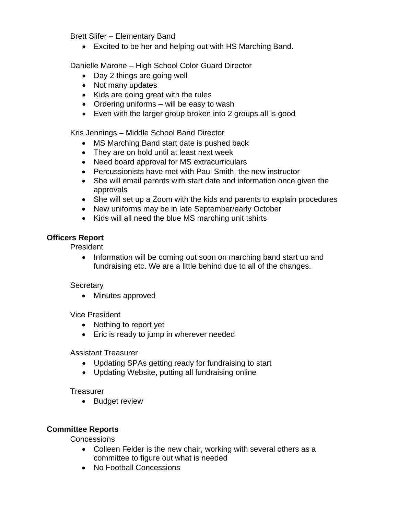Brett Slifer – Elementary Band

• Excited to be her and helping out with HS Marching Band.

Danielle Marone – High School Color Guard Director

- Day 2 things are going well
- Not many updates
- Kids are doing great with the rules
- Ordering uniforms will be easy to wash
- Even with the larger group broken into 2 groups all is good

Kris Jennings – Middle School Band Director

- MS Marching Band start date is pushed back
- They are on hold until at least next week
- Need board approval for MS extracurriculars
- Percussionists have met with Paul Smith, the new instructor
- She will email parents with start date and information once given the approvals
- She will set up a Zoom with the kids and parents to explain procedures
- New uniforms may be in late September/early October
- Kids will all need the blue MS marching unit tshirts

## **Officers Report**

President

• Information will be coming out soon on marching band start up and fundraising etc. We are a little behind due to all of the changes.

## **Secretary**

• Minutes approved

Vice President

- Nothing to report yet
- Eric is ready to jump in wherever needed

Assistant Treasurer

- Updating SPAs getting ready for fundraising to start
- Updating Website, putting all fundraising online

**Treasurer** 

• Budget review

## **Committee Reports**

**Concessions** 

- Colleen Felder is the new chair, working with several others as a committee to figure out what is needed
- No Football Concessions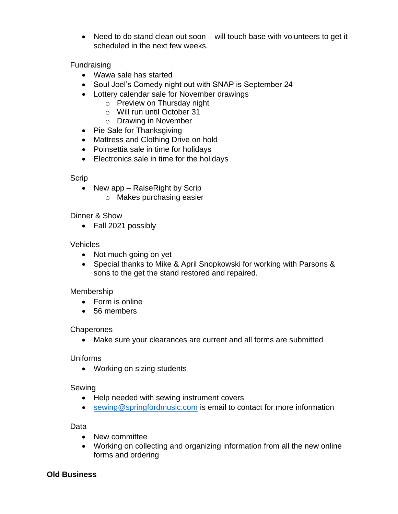• Need to do stand clean out soon – will touch base with volunteers to get it scheduled in the next few weeks.

Fundraising

- Wawa sale has started
- Soul Joel's Comedy night out with SNAP is September 24
- Lottery calendar sale for November drawings
	- o Preview on Thursday night
	- o Will run until October 31
	- o Drawing in November
- Pie Sale for Thanksgiving
- Mattress and Clothing Drive on hold
- Poinsettia sale in time for holidays
- Electronics sale in time for the holidays

## Scrip

- New app Raise Right by Scrip
	- o Makes purchasing easier

## Dinner & Show

• Fall 2021 possibly

## Vehicles

- Not much going on yet
- Special thanks to Mike & April Snopkowski for working with Parsons & sons to the get the stand restored and repaired.

## Membership

- Form is online
- 56 members

## **Chaperones**

• Make sure your clearances are current and all forms are submitted

## Uniforms

• Working on sizing students

## Sewing

- Help needed with sewing instrument covers
- [sewing@springfordmusic.com](mailto:sewing@springfordmusic.com) is email to contact for more information

## Data

- New committee
- Working on collecting and organizing information from all the new online forms and ordering

## **Old Business**